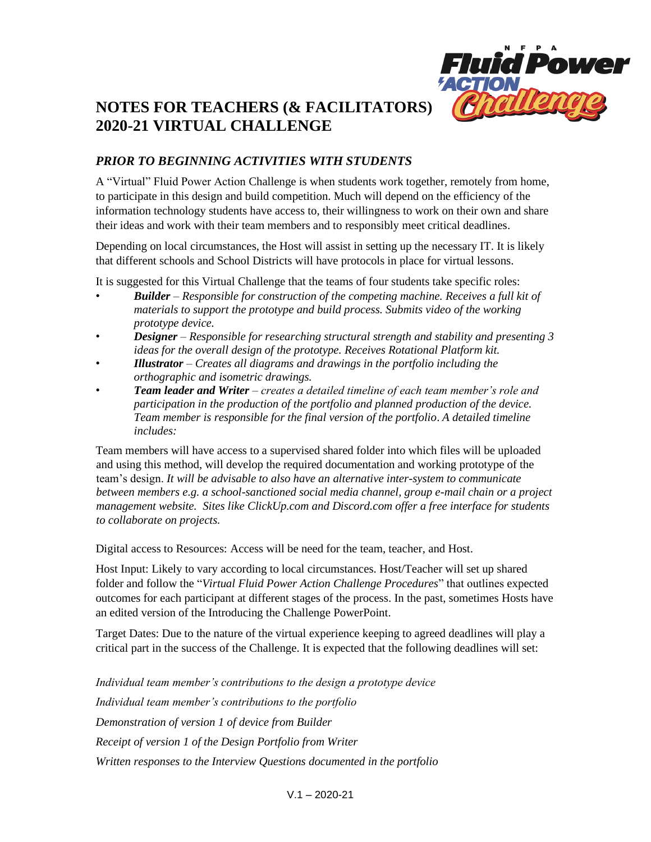

# **NOTES FOR TEACHERS (& FACILITATORS) 2020-21 VIRTUAL CHALLENGE**

# *PRIOR TO BEGINNING ACTIVITIES WITH STUDENTS*

A "Virtual" Fluid Power Action Challenge is when students work together, remotely from home, to participate in this design and build competition. Much will depend on the efficiency of the information technology students have access to, their willingness to work on their own and share their ideas and work with their team members and to responsibly meet critical deadlines.

Depending on local circumstances, the Host will assist in setting up the necessary IT. It is likely that different schools and School Districts will have protocols in place for virtual lessons.

It is suggested for this Virtual Challenge that the teams of four students take specific roles:

- *Builder – Responsible for construction of the competing machine. Receives a full kit of materials to support the prototype and build process. Submits video of the working prototype device.*
- *Designer – Responsible for researching structural strength and stability and presenting 3 ideas for the overall design of the prototype. Receives Rotational Platform kit.*
- *Illustrator – Creates all diagrams and drawings in the portfolio including the orthographic and isometric drawings.*
- *Team leader and Writer – creates a detailed timeline of each team member's role and participation in the production of the portfolio and planned production of the device. Team member is responsible for the final version of the portfolio*. *A detailed timeline includes:*

Team members will have access to a supervised shared folder into which files will be uploaded and using this method, will develop the required documentation and working prototype of the team's design. *It will be advisable to also have an alternative inter-system to communicate between members e.g. a school-sanctioned social media channel, group e-mail chain or a project management website. Sites like ClickUp.com and Discord.com offer a free interface for students to collaborate on projects.*

Digital access to Resources: Access will be need for the team, teacher, and Host.

Host Input: Likely to vary according to local circumstances. Host/Teacher will set up shared folder and follow the "*Virtual Fluid Power Action Challenge Procedures*" that outlines expected outcomes for each participant at different stages of the process. In the past, sometimes Hosts have an edited version of the Introducing the Challenge PowerPoint.

Target Dates: Due to the nature of the virtual experience keeping to agreed deadlines will play a critical part in the success of the Challenge. It is expected that the following deadlines will set:

*Individual team member's contributions to the design a prototype device Individual team member's contributions to the portfolio Demonstration of version 1 of device from Builder Receipt of version 1 of the Design Portfolio from Writer Written responses to the Interview Questions documented in the portfolio*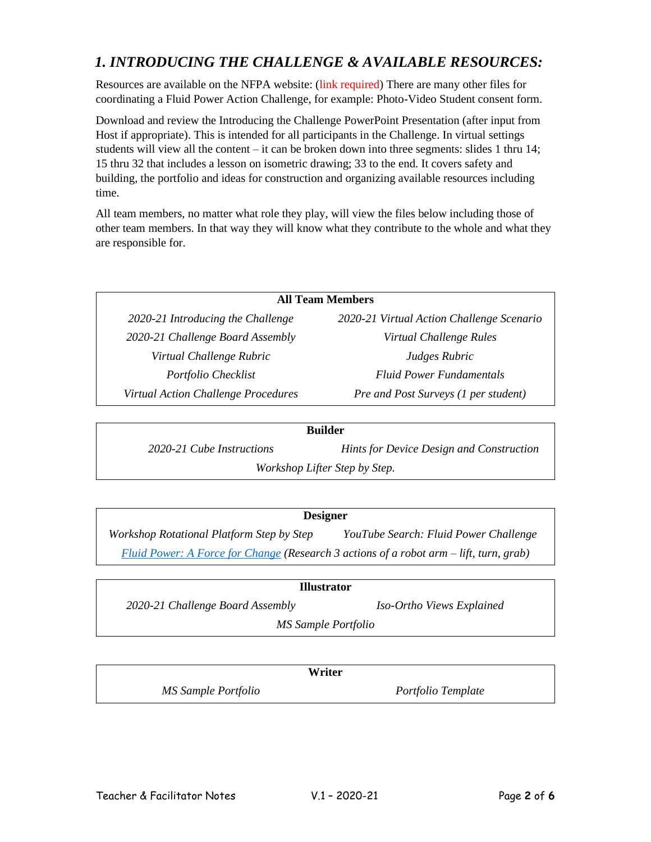# *1. INTRODUCING THE CHALLENGE & AVAILABLE RESOURCES:*

Resources are available on the NFPA website: (link required) There are many other files for coordinating a Fluid Power Action Challenge, for example: Photo-Video Student consent form.

Download and review the Introducing the Challenge PowerPoint Presentation (after input from Host if appropriate). This is intended for all participants in the Challenge. In virtual settings students will view all the content – it can be broken down into three segments: slides 1 thru 14; 15 thru 32 that includes a lesson on isometric drawing; 33 to the end. It covers safety and building, the portfolio and ideas for construction and organizing available resources including time.

All team members, no matter what role they play, will view the files below including those of other team members. In that way they will know what they contribute to the whole and what they are responsible for.

#### **All Team Members**

*2020-21 Challenge Board Assembly Virtual Challenge Rules Virtual Challenge Rubric Judges Rubric*

*2020-21 Introducing the Challenge 2020-21 Virtual Action Challenge Scenario Portfolio Checklist Fluid Power Fundamentals Virtual Action Challenge Procedures Pre and Post Surveys (1 per student)*

#### **Builder**

*2020-21 Cube Instructions Hints for Device Design and Construction Workshop Lifter Step by Step.*

#### **Designer**

*Workshop Rotational Platform Step by Step YouTube Search: Fluid Power Challenge [Fluid Power: A Force for Change](http://www.tpt.org/fluid-power-a-force-for-change/video/tpt-documentaries-fluid-power-force-change/) (Research 3 actions of a robot arm – lift, turn, grab)*

| <b>Illustrator</b>               |                           |  |
|----------------------------------|---------------------------|--|
| 2020-21 Challenge Board Assembly | Iso-Ortho Views Explained |  |
| MS Sample Portfolio              |                           |  |

| Writer              |                    |
|---------------------|--------------------|
| MS Sample Portfolio | Portfolio Template |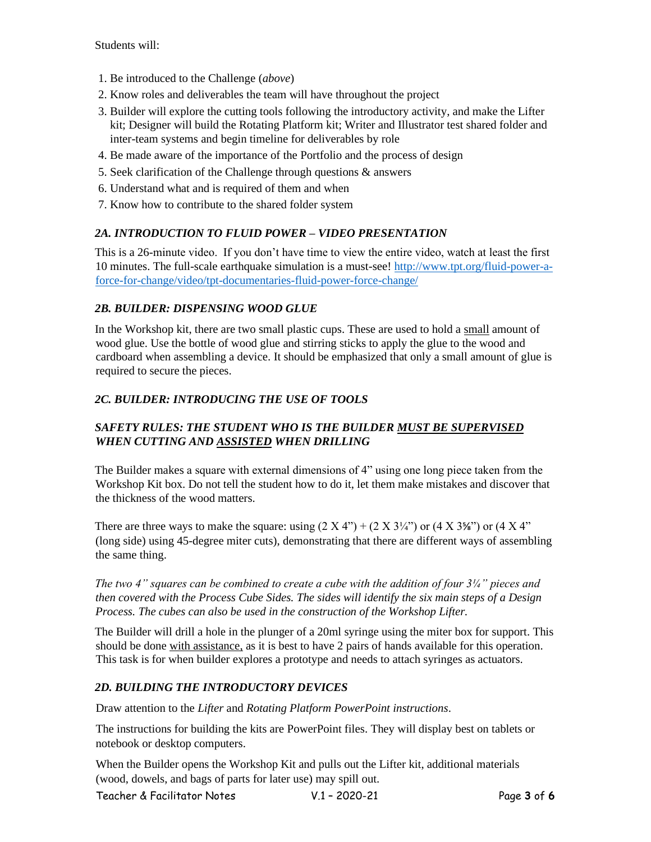Students will:

- 1. Be introduced to the Challenge (*above*)
- 2. Know roles and deliverables the team will have throughout the project
- 3. Builder will explore the cutting tools following the introductory activity, and make the Lifter kit; Designer will build the Rotating Platform kit; Writer and Illustrator test shared folder and inter-team systems and begin timeline for deliverables by role
- 4. Be made aware of the importance of the Portfolio and the process of design
- 5. Seek clarification of the Challenge through questions & answers
- 6. Understand what and is required of them and when
- 7. Know how to contribute to the shared folder system

#### *2A. INTRODUCTION TO FLUID POWER – VIDEO PRESENTATION*

This is a 26-minute video. If you don't have time to view the entire video, watch at least the first 10 minutes. The full-scale earthquake simulation is a must-see! [http://www.tpt.org/fluid-power-a](http://www.tpt.org/fluid-power-a-force-for-change/video/tpt-documentaries-fluid-power-force-change/)[force-for-change/video/tpt-documentaries-fluid-power-force-change/](http://www.tpt.org/fluid-power-a-force-for-change/video/tpt-documentaries-fluid-power-force-change/)

#### *2B. BUILDER: DISPENSING WOOD GLUE*

In the Workshop kit, there are two small plastic cups. These are used to hold a small amount of wood glue. Use the bottle of wood glue and stirring sticks to apply the glue to the wood and cardboard when assembling a device. It should be emphasized that only a small amount of glue is required to secure the pieces.

### *2C. BUILDER: INTRODUCING THE USE OF TOOLS*

# *SAFETY RULES: THE STUDENT WHO IS THE BUILDER MUST BE SUPERVISED WHEN CUTTING AND ASSISTED WHEN DRILLING*

The Builder makes a square with external dimensions of 4" using one long piece taken from the Workshop Kit box. Do not tell the student how to do it, let them make mistakes and discover that the thickness of the wood matters.

There are three ways to make the square: using  $(2 \text{ X } 4)$  +  $(2 \text{ X } 3\frac{1}{4})$  or  $(4 \text{ X } 3\frac{1}{8})$  or  $(4 \text{ X } 4)$ <sup>\*</sup> (long side) using 45-degree miter cuts), demonstrating that there are different ways of assembling the same thing.

*The two 4" squares can be combined to create a cube with the addition of four 3¼" pieces and then covered with the Process Cube Sides. The sides will identify the six main steps of a Design Process. The cubes can also be used in the construction of the Workshop Lifter.* 

The Builder will drill a hole in the plunger of a 20ml syringe using the miter box for support. This should be done with assistance, as it is best to have 2 pairs of hands available for this operation. This task is for when builder explores a prototype and needs to attach syringes as actuators.

### *2D. BUILDING THE INTRODUCTORY DEVICES*

Draw attention to the *Lifter* and *Rotating Platform PowerPoint instructions*.

The instructions for building the kits are PowerPoint files. They will display best on tablets or notebook or desktop computers.

When the Builder opens the Workshop Kit and pulls out the Lifter kit, additional materials (wood, dowels, and bags of parts for later use) may spill out.

Teacher & Facilitator Notes V.1 – 2020-21 Page **3** of **6**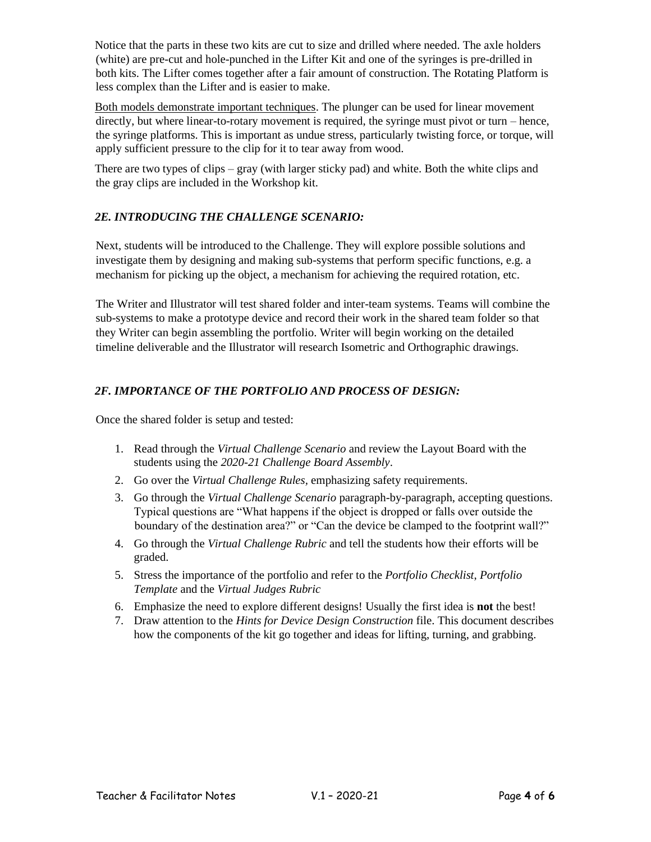Notice that the parts in these two kits are cut to size and drilled where needed. The axle holders (white) are pre-cut and hole-punched in the Lifter Kit and one of the syringes is pre-drilled in both kits. The Lifter comes together after a fair amount of construction. The Rotating Platform is less complex than the Lifter and is easier to make.

Both models demonstrate important techniques. The plunger can be used for linear movement directly, but where linear-to-rotary movement is required, the syringe must pivot or turn – hence, the syringe platforms. This is important as undue stress, particularly twisting force, or torque, will apply sufficient pressure to the clip for it to tear away from wood.

There are two types of clips – gray (with larger sticky pad) and white. Both the white clips and the gray clips are included in the Workshop kit.

# *2E. INTRODUCING THE CHALLENGE SCENARIO:*

Next, students will be introduced to the Challenge. They will explore possible solutions and investigate them by designing and making sub-systems that perform specific functions, e.g. a mechanism for picking up the object, a mechanism for achieving the required rotation, etc.

The Writer and Illustrator will test shared folder and inter-team systems. Teams will combine the sub-systems to make a prototype device and record their work in the shared team folder so that they Writer can begin assembling the portfolio. Writer will begin working on the detailed timeline deliverable and the Illustrator will research Isometric and Orthographic drawings.

# *2F. IMPORTANCE OF THE PORTFOLIO AND PROCESS OF DESIGN:*

Once the shared folder is setup and tested:

- 1. Read through the *Virtual Challenge Scenario* and review the Layout Board with the students using the *2020-21 Challenge Board Assembly*.
- 2. Go over the *Virtual Challenge Rules,* emphasizing safety requirements.
- 3. Go through the *Virtual Challenge Scenario* paragraph-by-paragraph, accepting questions. Typical questions are "What happens if the object is dropped or falls over outside the boundary of the destination area?" or "Can the device be clamped to the footprint wall?"
- 4. Go through the *Virtual Challenge Rubric* and tell the students how their efforts will be graded.
- 5. Stress the importance of the portfolio and refer to the *Portfolio Checklist*, *Portfolio Template* and the *Virtual Judges Rubric*
- 6. Emphasize the need to explore different designs! Usually the first idea is **not** the best!
- 7. Draw attention to the *Hints for Device Design Construction* file. This document describes how the components of the kit go together and ideas for lifting, turning, and grabbing.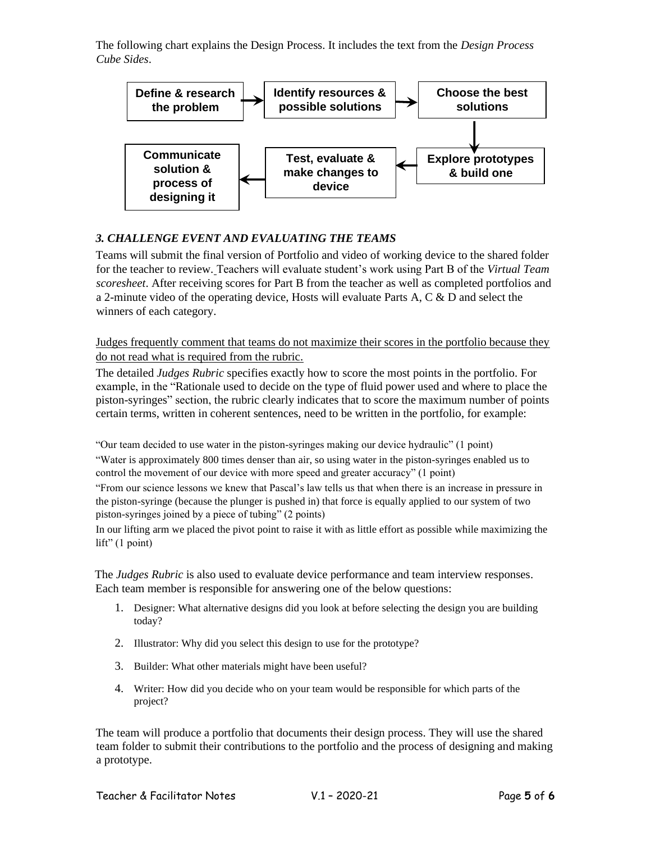The following chart explains the Design Process. It includes the text from the *Design Process Cube Sides*.



#### *3. CHALLENGE EVENT AND EVALUATING THE TEAMS*

Teams will submit the final version of Portfolio and video of working device to the shared folder for the teacher to review. Teachers will evaluate student's work using Part B of the *Virtual Team scoresheet*. After receiving scores for Part B from the teacher as well as completed portfolios and a 2-minute video of the operating device, Hosts will evaluate Parts A, C & D and select the winners of each category.

Judges frequently comment that teams do not maximize their scores in the portfolio because they do not read what is required from the rubric.

The detailed *Judges Rubric* specifies exactly how to score the most points in the portfolio. For example, in the "Rationale used to decide on the type of fluid power used and where to place the piston-syringes" section, the rubric clearly indicates that to score the maximum number of points certain terms, written in coherent sentences, need to be written in the portfolio, for example:

"Our team decided to use water in the piston-syringes making our device hydraulic" (1 point) "Water is approximately 800 times denser than air, so using water in the piston-syringes enabled us to control the movement of our device with more speed and greater accuracy" (1 point) "From our science lessons we knew that Pascal's law tells us that when there is an increase in pressure in the piston-syringe (because the plunger is pushed in) that force is equally applied to our system of two piston-syringes joined by a piece of tubing" (2 points)

In our lifting arm we placed the pivot point to raise it with as little effort as possible while maximizing the lift" (1 point)

The *Judges Rubric* is also used to evaluate device performance and team interview responses. Each team member is responsible for answering one of the below questions:

- 1. Designer: What alternative designs did you look at before selecting the design you are building today?
- 2. Illustrator: Why did you select this design to use for the prototype?
- 3. Builder: What other materials might have been useful?
- 4. Writer: How did you decide who on your team would be responsible for which parts of the project?

The team will produce a portfolio that documents their design process. They will use the shared team folder to submit their contributions to the portfolio and the process of designing and making a prototype.